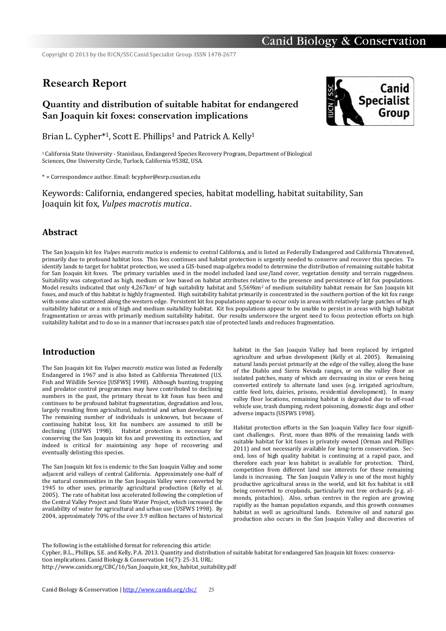Copyright © 2013 by the IUCN/SSC Canid Specialist Group. ISSN 1478-2677

# **Research Report**

## **Quantity and distribution of suitable habitat for endangered San Joaquin kit foxes: conservation implications**



Brian L. Cypher<sup>\*1</sup>, Scott E. Phillips<sup>1</sup> and Patrick A. Kelly<sup>1</sup>

<sup>1</sup>California State University - Stanislaus, Endangered Species Recovery Program, Department of Biological Sciences, One University Circle, Turlock, California 95382, USA.

\* = Correspondence author. Email: bcypher@esrp.csustan.edu

Keywords: California, endangered species, habitat modelling, habitat suitability, San Joaquin kit fox, *Vulpes macrotis mutica*.

## **Abstract**

The San Joaquin kit fox *Vulpes macrotis mutica* is endemic to central California, and is listed as Federally Endangered and California Threatened, primarily due to profound habitat loss. This loss continues and habitat protection is urgently needed to conserve and recover this species. To identify lands to target for habitat protection, we used a GIS-based map-algebra model to determine the distribution of remaining suitable habitat for San Joaquin kit foxes. The primary variables used in the model included land use/land cover, vegetation density and terrain ruggedness. Suitability was categorized as high, medium or low based on habitat attributes relative to the presence and persistence of kit fox populations. Model results indicated that only 4,267km<sup>2</sup> of high suitability habitat and 5,569km<sup>2</sup> of medium suitability habitat remain for San Joaquin kit foxes, and much of this habitat is highly fragmented. High suitability habitat primarily is concentrated in the southern portion of the kit fox range with some also scattered along the western edge. Persistent kit fox populations appear to occur only in areas with relatively large patches of high suitability habitat or a mix of high and medium suitability habitat. Kit fox populations appear to be unable to persist in areas with high habitat fragmentation or areas with primarily medium suitability habitat. Our results underscore the urgent need to focus protection efforts on high suitability habitat and to do so in a manner that increases patch size of protected lands and reduces fragmentation.

### **Introduction**

The San Joaquin kit fox *Vulpes macrotis mutica* was listed as Federally Endangered in 1967 and is also listed as California Threatened (U.S. Fish and Wildlife Service [USFWS] 1998). Although hunting, trapping and predator control programmes may have contributed to declining numbers in the past, the primary threat to kit foxes has been and continues to be profound habitat fragmentation, degradation and loss, largely resulting from agricultural, industrial and urban development. The remaining number of individuals is unknown, but because of continuing habitat loss, kit fox numbers are assumed to still be declining (USFWS 1998). Habitat protection is necessary for conserving the San Joaquin kit fox and preventing its extinction, and indeed is critical for maintaining any hope of recovering and eventually delisting this species.

The San Joaquin kit fox is endemic to the San Joaquin Valley and some adjacent arid valleys of central California. Approximately one-half of the natural communities in the San Joaquin Valley were converted by 1945 to other uses, primarily agricultural production (Kelly et al. 2005). The rate of habitat loss accelerated following the completion of the Central Valley Project and State Water Project, which increased the availability of water for agricultural and urban use (USFWS 1998). By 2004, approximately 70% of the over 3.9 million hectares of historical

habitat in the San Joaquin Valley had been replaced by irrigated agriculture and urban development (Kelly et al. 2005). Remaining natural lands persist primarily at the edge of the valley, along the base of the Diablo and Sierra Nevada ranges, or on the valley floor as isolated patches, many of which are decreasing in size or even being converted entirely to alternate land uses (e.g. irrigated agriculture, cattle feed lots, dairies, prisons, residential development). In many valley floor locations, remaining habitat is degraded due to off-road vehicle use, trash dumping, rodent poisoning, domestic dogs and other adverse impacts (USFWS 1998).

Habitat protection efforts in the San Joaquin Valley face four significant challenges. First, more than 80% of the remaining lands with suitable habitat for kit foxes is privately owned (Orman and Phillips 2011) and not necessarily available for long-term conservation. Second, loss of high quality habitat is continuing at a rapid pace, and therefore each year less habitat is available for protection. Third, competition from different land use interests for these remaining lands is increasing. The San Joaquin Valley is one of the most highly productive agricultural areas in the world, and kit fox habitat is still being converted to croplands, particularly nut tree orchards (e.g. almonds, pistachios). Also, urban centres in the region are growing rapidly as the human population expands, and this growth consumes habitat as well as agricultural lands. Extensive oil and natural gas production also occurs in the San Joaquin Valley and discoveries of

The following is the established format for referencing this article:

Cypher, B.L., Phillips, S.E. and Kelly, P.A. 2013. Quantity and distribution of suitable habitat for endangered San Joaquin kit foxes: conservation implications. Canid Biology & Conservation 16(7): 25-31. URL:

http://www.canids.org/CBC/16/San\_Joaquin\_kit\_fox\_habitat\_suitability.pdf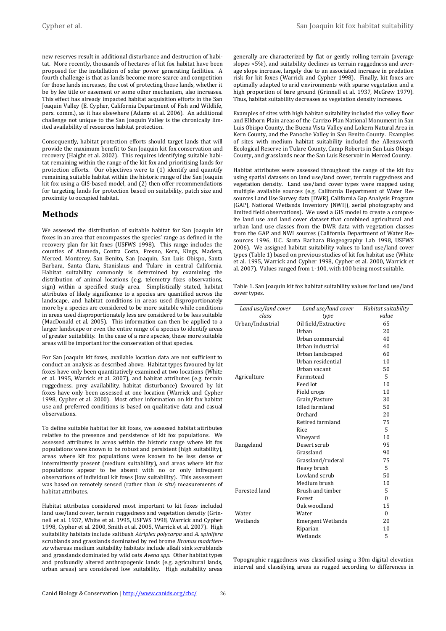Cypher et al. San Joaquin kit fox habitat suitability

new reserves result in additional disturbance and destruction of habitat. More recently, thousands of hectares of kit fox habitat have been proposed for the installation of solar power generating facilities. A fourth challenge is that as lands become more scarce and competition for those lands increases, the cost of protecting those lands, whether it be by fee title or easement or some other mechanism, also increases. This effect has already impacted habitat acquisition efforts in the San Joaquin Valley (E. Cypher, California Department of Fish and Wildlife, pers. comm.), as it has elsewhere (Adams et al. 2006). An additional challenge not unique to the San Joaquin Valley is the chronically limited availability of resources habitat protection.

Consequently, habitat protection efforts should target lands that will provide the maximum benefit to San Joaquin kit fox conservation and recovery (Haight et al. 2002). This requires identifying suitable habitat remaining within the range of the kit fox and prioritising lands for protection efforts. Our objectives were to (1) identify and quantify remaining suitable habitat within the historic range of the San Joaquin kit fox using a GIS-based model, and (2) then offer recommendations for targeting lands for protection based on suitability, patch size and proximity to occupied habitat.

## **Methods**

We assessed the distribution of suitable habitat for San Joaquin kit foxes in an area that encompasses the species' range as defined in the recovery plan for kit foxes (USFWS 1998). This range includes the counties of Alameda, Contra Costa, Fresno, Kern, Kings, Madera, Merced, Monterey, San Benito, San Joaquin, San Luis Obispo, Santa Barbara, Santa Clara, Stanislaus and Tulare in central California. Habitat suitability commonly is determined by examining the distribution of animal locations (e.g. telemetry fixes observations, sign) within a specified study area. Simplistically stated, habitat attributes of likely significance to a species are quantified across the landscape, and habitat conditions in areas used disproportionately more by a species are considered to be more suitable while conditions in areas used disproportionately less are considered to be less suitable (MacDonald et al. 2005). This information can then be applied to a larger landscape or even the entire range of a species to identify areas of greater suitability. In the case of a rare species, these more suitable areas will be important for the conservation of that species.

For San Joaquin kit foxes, available location data are not sufficient to conduct an analysis as described above. Habitat types favoured by kit foxes have only been quantitatively examined at two locations (White et al. 1995, Warrick et al. 2007), and habitat attributes (e.g. terrain ruggedness, prey availability, habitat disturbance) favoured by kit foxes have only been assessed at one location (Warrick and Cypher 1998, Cypher et al. 2000). Most other information on kit fox habitat use and preferred conditions is based on qualitative data and casual observations.

To define suitable habitat for kit foxes, we assessed habitat attributes relative to the presence and persistence of kit fox populations. We assessed attributes in areas within the historic range where kit fox populations were known to be robust and persistent (high suitability), areas where kit fox populations were known to be less dense or intermittently present (medium suitability), and areas where kit fox populations appear to be absent with no or only infrequent observations of individual kit foxes (low suitability). This assessment was based on remotely sensed (rather than *in situ*) measurements of habitat attributes.

Habitat attributes considered most important to kit foxes included land use/land cover, terrain ruggedness and vegetation density (Grinnell et al. 1937, White et al. 1995, USFWS 1998, Warrick and Cypher 1998, Cypher et al. 2000, Smith et al. 2005, Warrick et al. 2007). High suitability habitats include saltbush *Atriplex polycarpa* and *A. spinifera* scrublands and grasslands dominated by red brome *Bromus madritensis* whereas medium suitability habitats include alkali sink scrublands and grasslands dominated by wild oats *Avena spp.* Other habitat types and profoundly altered anthropogenic lands (e.g. agricultural lands, urban areas) are considered low suitability. High suitability areas generally are characterized by flat or gently rolling terrain (average slopes <5%), and suitability declines as terrain ruggedness and average slope increase, largely due to an associated increase in predation risk for kit foxes (Warrick and Cypher 1998). Finally, kit foxes are optimally adapted to arid environments with sparse vegetation and a high proportion of bare ground (Grinnell et al. 1937, McGrew 1979). Thus, habitat suitability decreases as vegetation density increases.

Examples of sites with high habitat suitability included the valley floor and Elkhorn Plain areas of the Carrizo Plan National Monument in San Luis Obispo County, the Buena Vista Valley and Lokern Natural Area in Kern County, and the Panoche Valley in San Benito County. Examples of sites with medium habitat suitability included the Allensworth Ecological Reserve in Tulare County, Camp Roberts in San Luis Obispo County, and grasslands near the San Luis Reservoir in Merced County.

Habitat attributes were assessed throughout the range of the kit fox using spatial datasets on land use/land cover, terrain ruggedness and vegetation density. Land use/land cover types were mapped using multiple available sources (e.g. California Department of Water Resources Land Use Survey data [DWR], California Gap Analysis Program [GAP], National Wetlands Inventory [NWI]), aerial photography and limited field observations). We used a GIS model to create a composite land use and land cover dataset that combined agricultural and urban land use classes from the DWR data with vegetation classes from the GAP and NWI sources (California Department of Water Resources 1996, U.C. Santa Barbara Biogeography Lab 1998, USFWS 2006). We assigned habitat suitability values to land use/land cover types (Table 1) based on previous studies of kit fox habitat use (White et al. 1995, Warrick and Cypher 1998, Cypher et al. 2000, Warrick et al. 2007). Values ranged from 1-100, with 100 being most suitable.

Table 1. San Joaquin kit fox habitat suitability values for land use/land cover types.

| Land use/land cover | Land use/land cover<br>Habitat suitability |          |  |
|---------------------|--------------------------------------------|----------|--|
| class               | type                                       | value    |  |
| Urban/Industrial    | Oil field/Extractive                       | 65       |  |
|                     | <b>Urhan</b>                               | 20       |  |
|                     | Urban commercial                           | 40       |  |
|                     | Urban industrial                           | 40<br>60 |  |
|                     | Urban landscaped                           |          |  |
|                     | Urban residential                          | 10       |  |
|                     | Urban vacant                               | 50       |  |
| Agriculture         | Farmstead                                  | 5<br>10  |  |
|                     | Feed lot                                   |          |  |
|                     | Field crops                                | 10       |  |
|                     | Grain/Pasture                              | 30       |  |
|                     | <b>Idled</b> farmland                      | 50       |  |
|                     | Orchard                                    | 20       |  |
|                     | Retired farmland                           | 75       |  |
|                     | Rice                                       | 5        |  |
|                     | Vineyard                                   | 10       |  |
| Rangeland           | Desert scrub                               | 95       |  |
|                     | Grassland                                  | 90       |  |
|                     | Grassland/ruderal                          | 75       |  |
|                     | Heavy brush                                | 5        |  |
|                     | Lowland scrub                              | 50       |  |
|                     | Medium brush                               | 10       |  |
| Forested land       | Brush and timber                           | 5        |  |
|                     | Forest                                     | $\Omega$ |  |
|                     | Oak woodland                               | 15       |  |
| Water               | Water                                      | $\Omega$ |  |
| Wetlands            | <b>Emergent Wetlands</b>                   | 20       |  |
|                     | Riparian<br>10                             |          |  |
|                     | Wetlands                                   | 5        |  |

Topographic ruggedness was classified using a 30m digital elevation interval and classifying areas as rugged according to differences in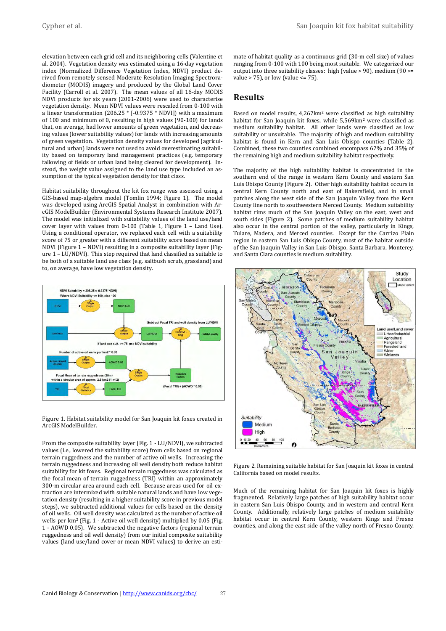elevation between each grid cell and its neighboring cells (Valentine et al. 2004). Vegetation density was estimated using a 16-day vegetation index (Normalized Difference Vegetation Index, NDVI) product derived from remotely sensed Moderate Resolution Imaging Spectroradiometer (MODIS) imagery and produced by the Global Land Cover Facility (Carroll et al. 2007). The mean values of all 16-day MODIS NDVI products for six years (2001-2006) were used to characterise vegetation density. Mean NDVI values were rescaled from 0-100 with a linear transformation (206.25 \* [-0.9375 \* NDVI]) with a maximum of 100 and minimum of 0, resulting in high values (90-100) for lands that, on average, had lower amounts of green vegetation, and decreasing values (lower suitability values) for lands with increasing amounts of green vegetation. Vegetation density values for developed (agricultural and urban) lands were not used to avoid overestimating suitability based on temporary land management practices (e.g. temporary fallowing of fields or urban land being cleared for development). Instead, the weight value assigned to the land use type included an assumption of the typical vegetation density for that class.

Habitat suitability throughout the kit fox range was assessed using a GIS-based map-algebra model (Tomlin 1994; Figure 1). The model was developed using ArcGIS Spatial Analyst in combination with ArcGIS ModelBuilder (Environmental Systems Research Institute 2007). The model was initialized with suitability values of the land use/land cover layer with values from 0-100 (Table 1, Figure 1 – Land Use). Using a conditional operator, we replaced each cell with a suitability score of 75 or greater with a different suitability score based on mean NDVI (Figure  $1$  – NDVI) resulting in a composite suitability layer (Figure 1 – LU/NDVI). This step required that land classified as suitable to be both of a suitable land use class (e.g. saltbush scrub, grassland) and to, on average, have low vegetation density.



Figure 1. Habitat suitability model for San Joaquin kit foxes created in ArcGIS ModelBuilder.

From the composite suitability layer (Fig. 1 - LU/NDVI), we subtracted values (i.e., lowered the suitability score) from cells based on regional terrain ruggedness and the number of active oil wells. Increasing the terrain ruggedness and increasing oil well density both reduce habitat suitability for kit foxes. Regional terrain ruggedness was calculated as the focal mean of terrain ruggedness (TRI) within an approximately 300-m circular area around each cell. Because areas used for oil extraction are intermixed with suitable natural lands and have low vegetation density (resulting in a higher suitability score in previous model steps), we subtracted additional values for cells based on the density of oil wells. Oil well density was calculated as the number of active oil wells per km<sup>2</sup> (Fig. 1 - Active oil well density) multiplied by 0.05 (Fig. 1 - AOWD 0.05). We subtracted the negative factors (regional terrain ruggedness and oil well density) from our initial composite suitability values (land use/land cover or mean NDVI values) to derive an estimate of habitat quality as a continuous grid (30-m cell size) of values ranging from 0-100 with 100 being most suitable. We categorized our output into three suitability classes: high (value > 90), medium (90 >= value > 75), or low (value <= 75).

## **Results**

Based on model results, 4,267km<sup>2</sup> were classified as high suitability habitat for San Joaquin kit foxes, while 5,569km<sup>2</sup> were classified as medium suitability habitat. All other lands were classified as low suitability or unsuitable. The majority of high and medium suitability habitat is found in Kern and San Luis Obispo counties (Table 2). Combined, these two counties combined encompass 67% and 35% of the remaining high and medium suitability habitat respectively.

The majority of the high suitability habitat is concentrated in the southern end of the range in western Kern County and eastern San Luis Obispo County (Figure 2). Other high suitability habitat occurs in central Kern County north and east of Bakersfield, and in small patches along the west side of the San Joaquin Valley from the Kern County line north to southwestern Merced County. Medium suitability habitat rims much of the San Joaquin Valley on the east, west and south sides (Figure 2). Some patches of medium suitability habitat also occur in the central portion of the valley, particularly in Kings, Tulare, Madera, and Merced counties. Except for the Carrizo Plain region in eastern San Luis Obispo County, most of the habitat outside of the San Joaquin Valley in San Luis Obispo, Santa Barbara, Monterey, and Santa Clara counties is medium suitability.



Figure 2. Remaining suitable habitat for San Joaquin kit foxes in central California based on model results.

Much of the remaining habitat for San Joaquin kit foxes is highly fragmented. Relatively large patches of high suitability habitat occur in eastern San Luis Obispo County, and in western and central Kern County. Additionally, relatively large patches of medium suitability habitat occur in central Kern County, western Kings and Fresno counties, and along the east side of the valley north of Fresno County.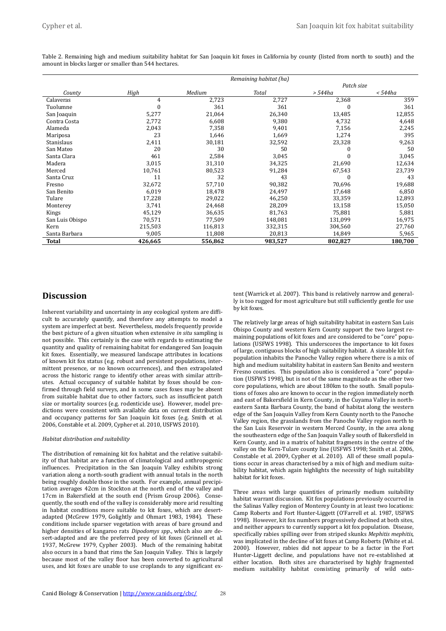|                 |         |         | Remaining habitat (ha) |            |         |
|-----------------|---------|---------|------------------------|------------|---------|
|                 |         |         |                        | Patch size |         |
| County          | High    | Medium  | Total                  | $> 544$ ha | $544ha$ |
| Calaveras       | 4       | 2,723   | 2,727                  | 2,368      | 359     |
| Tuolumne        | O       | 361     | 361                    |            | 361     |
| San Joaquin     | 5,277   | 21,064  | 26,340                 | 13,485     | 12,855  |
| Contra Costa    | 2,772   | 6,608   | 9,380                  | 4,732      | 4,648   |
| Alameda         | 2,043   | 7,358   | 9,401                  | 7,156      | 2,245   |
| Mariposa        | 23      | 1,646   | 1,669                  | 1,274      | 395     |
| Stanislaus      | 2,411   | 30,181  | 32,592                 | 23,328     | 9,263   |
| San Mateo       | 20      | 30      | 50                     |            | 50      |
| Santa Clara     | 461     | 2,584   | 3,045                  |            | 3,045   |
| Madera          | 3,015   | 31,310  | 34,325                 | 21,690     | 12,634  |
| Merced          | 10,761  | 80,523  | 91,284                 | 67,543     | 23,739  |
| Santa Cruz      | 11      | 32      | 43                     |            | 43      |
| Fresno          | 32,672  | 57,710  | 90,382                 | 70,696     | 19,688  |
| San Benito      | 6,019   | 18,478  | 24,497                 | 17,648     | 6,850   |
| Tulare          | 17,228  | 29,022  | 46,250                 | 33,359     | 12,893  |
| Monterey        | 3,741   | 24,468  | 28,209                 | 13,158     | 15,050  |
| Kings           | 45,129  | 36,635  | 81,763                 | 75,881     | 5,881   |
| San Luis Obispo | 70,571  | 77,509  | 148,081                | 131,099    | 16,975  |
| Kern            | 215,503 | 116,813 | 332,315                | 304,560    | 27,760  |
| Santa Barbara   | 9,005   | 11,808  | 20,813                 | 14,849     | 5,965   |
| Total           | 426,665 | 556,862 | 983,527                | 802,827    | 180,700 |

Table 2. Remaining high and medium suitability habitat for San Joaquin kit foxes in California by county (listed from north to south) and the amount in blocks larger or smaller than 544 hectares.

## **Discussion**

Inherent variability and uncertainty in any ecological system are difficult to accurately quantify, and therefore any attempts to model a system are imperfect at best. Nevertheless, models frequently provide the best picture of a given situation when extensive *in situ* sampling is not possible. This certainly is the case with regards to estimating the quantity and quality of remaining habitat for endangered San Joaquin kit foxes. Essentially, we measured landscape attributes in locations of known kit fox status (e.g. robust and persistent populations, intermittent presence, or no known occurrences), and then extrapolated across the historic range to identify other areas with similar attributes. Actual occupancy of suitable habitat by foxes should be confirmed through field surveys, and in some cases foxes may be absent from suitable habitat due to other factors, such as insufficient patch size or mortality sources (e.g. rodenticide use). However, model predictions were consistent with available data on current distribution and occupancy patterns for San Joaquin kit foxes (e.g. Smith et al. 2006, Constable et al. 2009, Cypher et al. 2010, USFWS 2010).

#### *Habitat distribution and suitability*

The distribution of remaining kit fox habitat and the relative suitability of that habitat are a function of climatological and anthropogenic influences. Precipitation in the San Joaquin Valley exhibits strong variation along a north-south gradient with annual totals in the north being roughly double those in the south. For example, annual precipitation averages 42cm in Stockton at the north end of the valley and 17cm in Bakersfield at the south end (Prism Group 2006). Consequently, the south end of the valley is considerably more arid resulting in habitat conditions more suitable to kit foxes, which are desertadapted (McGrew 1979, Golightly and Ohmart 1983, 1984). These conditions include sparser vegetation with areas of bare ground and higher densities of kangaroo rats *Dipodomys spp*., which also are desert-adapted and are the preferred prey of kit foxes (Grinnell et al. 1937, McGrew 1979, Cypher 2003). Much of the remaining habitat also occurs in a band that rims the San Joaquin Valley. This is largely because most of the valley floor has been converted to agricultural uses, and kit foxes are unable to use croplands to any significant extent (Warrick et al. 2007). This band is relatively narrow and generally is too rugged for most agriculture but still sufficiently gentle for use by kit foxes.

The relatively large areas of high suitability habitat in eastern San Luis Obispo County and western Kern County support the two largest remaining populations of kit foxes and are considered to be "core" populations (USFWS 1998). This underscores the importance to kit foxes of large, contiguous blocks of high suitability habitat. A sizeable kit fox population inhabits the Panoche Valley region where there is a mix of high and medium suitability habitat in eastern San Benito and western Fresno counties. This population also is considered a "core" population (USFWS 1998), but is not of the same magnitude as the other two core populations, which are about 180km to the south. Small populations of foxes also are known to occur in the region immediately north and east of Bakersfield in Kern County, in the Cuyama Valley in northeastern Santa Barbara County, the band of habitat along the western edge of the San Joaquin Valley from Kern County north to the Panoche Valley region, the grasslands from the Panoche Valley region north to the San Luis Reservoir in western Merced County, in the area along the southeastern edge of the San Joaquin Valley south of Bakersfield in Kern County, and in a matrix of habitat fragments in the centre of the valley on the Kern-Tulare county line (USFWS 1998; Smith et al. 2006, Constable et al. 2009, Cypher et al. 2010). All of these small populations occur in areas characterised by a mix of high and medium suitability habitat, which again highlights the necessity of high suitability habitat for kit foxes.

Three areas with large quantities of primarily medium suitability habitat warrant discussion. Kit fox populations previously occurred in the Salinas Valley region of Monterey County in at least two locations: Camp Roberts and Fort Hunter-Liggett (O'Farrell et al. 1987, USFWS 1998). However, kit fox numbers progressively declined at both sites, and neither appears to currently support a kit fox population. Disease, specifically rabies spilling over from striped skunks *Mephitis mephitis*, was implicated in the decline of kit foxes at Camp Roberts (White et al. 2000). However, rabies did not appear to be a factor in the Fort Hunter-Liggett decline, and populations have not re-established at either location. Both sites are characterised by highly fragmented medium suitability habitat consisting primarily of wild oats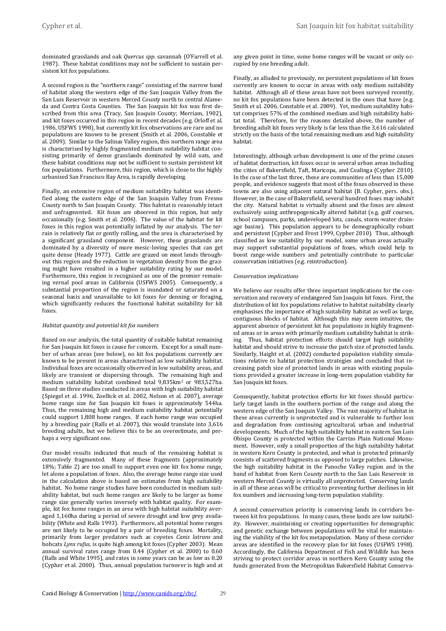dominated grasslands and oak *Quercus spp*. savannah (O'Farrell et al. 1987). These habitat conditions may not be sufficient to sustain persistent kit fox populations.

A second region is the "northern range" consisting of the narrow band of habitat along the western edge of the San Joaquin Valley from the San Luis Reservoir in western Merced County north to central Alameda and Contra Costa Counties. The San Joaquin kit fox was first described from this area (Tracy, San Joaquin County; Merriam, 1902), and kit foxes occurred in this region in recent decades (e.g. Orloff et al. 1986, USFWS 1998), but currently kit fox observations are rare and no populations are known to be present (Smith et al. 2006, Constable et al. 2009). Similar to the Salinas Valley region, this northern range area is characterised by highly fragmented medium suitability habitat consisting primarily of dense grasslands dominated by wild oats, and these habitat conditions may not be sufficient to sustain persistent kit fox populations. Furthermore, this region, which is close to the highly urbanised San Francisco Bay Area, is rapidly developing.

Finally, an extensive region of medium suitability habitat was identified along the eastern edge of the San Joaquin Valley from Fresno County north to San Joaquin County. This habitat is reasonably intact and unfragmented. Kit foxes are observed in this region, but only occasionally (e.g. Smith et al. 2006). The value of the habitat for kit foxes in this region was potentially inflated by our analysis. The terrain is relatively flat or gently rolling, and the area is characterised by a significant grassland component. However, these grasslands are dominated by a diversity of more mesic-loving species that can get quite dense (Heady 1977). Cattle are grazed on most lands throughout this region and the reduction in vegetation density from the grazing might have resulted in a higher suitability rating by our model. Furthermore, this region is recognised as one of the premier remaining vernal pool areas in California (USFWS 2005). Consequently, a substantial proportion of the region is inundated or saturated on a seasonal basis and unavailable to kit foxes for denning or foraging, which significantly reduces the functional habitat suitability for kit foxes.

#### *Habitat quantity and potential kit fox numbers*

Based on our analysis, the total quantity of suitable habitat remaining for San Joaquin kit foxes is cause for concern. Except for a small number of urban areas (see below), no kit fox populations currently are known to be present in areas characterised as low suitability habitat. Individual foxes are occasionally observed in low suitability areas, and likely are transient or dispersing through. The remaining high and medium suitability habitat combined total 9,835km<sup>2</sup> or 983,527ha. Based on three studies conducted in areas with high suitability habitat (Spiegel et al. 1996, Zoellick et al. 2002, Nelson et al. 2007), average home range size for San Joaquin kit foxes is approximately 544ha. Thus, the remaining high and medium suitability habitat potentially could support 1,808 home ranges. If each home range was occupied by a breeding pair (Ralls et al. 2007), this would translate into 3,616 breeding adults, but we believe this to be an overestimate, and perhaps a very significant one.

Our model results indicated that much of the remaining habitat is extensively fragmented. Many of these fragments (approximately 18%; Table 2) are too small to support even one kit fox home range, let alone a population of foxes. Also, the average home range size used in the calculation above is based on estimates from high suitability habitat. No home range studies have been conducted in medium suitability habitat, but such home ranges are likely to be larger as home range size generally varies inversely with habitat quality. For example, kit fox home ranges in an area with high habitat suitability averaged 1,160ha during a period of severe drought and low prey availability (White and Ralls 1993). Furthermore, all potential home ranges are not likely to be occupied by a pair of breeding foxes. Mortality, primarily from larger predators such as coyotes *Canis latrans* and bobcats *Lynx rufus*, is quite high among kit foxes (Cypher 2003). Mean annual survival rates range from 0.44 (Cypher et al. 2000) to 0.60 (Ralls and White 1995), and rates in some years can be as low as 0.20 (Cypher et al. 2000). Thus, annual population turnover is high and at any given point in time, some home ranges will be vacant or only occupied by one breeding adult.

Finally, as alluded to previously, no persistent populations of kit foxes currently are known to occur in areas with only medium suitability habitat. Although all of these areas have not been surveyed recently, no kit fox populations have been detected in the ones that have (e.g. Smith et al. 2006, Constable et al. 2009). Yet, medium suitability habitat comprises 57% of the combined medium and high suitability habitat total. Therefore, for the reasons detailed above, the number of breeding adult kit foxes very likely is far less than the 3,616 calculated strictly on the basis of the total remaining medium and high suitability habitat.

Interestingly, although urban development is one of the prime causes of habitat destruction, kit foxes occur in several urban areas including the cities of Bakersfield, Taft, Maricopa, and Coalinga (Cypher 2010). In the case of the last three, these are communities of less than 15,000 people, and evidence suggests that most of the foxes observed in these towns are also using adjacent natural habitat (B. Cypher, pers. obs.). However, in the case of Bakersfield, several hundred foxes may inhabit the city. Natural habitat is virtually absent and the foxes are almost exclusively using anthropogenically altered habitat (e.g. golf courses, school campuses, parks, undeveloped lots, canals, storm-water drainage basins). This population appears to be demographically robust and persistent (Cypher and Frost 1999, Cypher 2010). Thus, although classified as low suitability by our model, some urban areas actually may support substantial populations of foxes, which could help to boost range-wide numbers and potentially contribute to particular conservation initiatives (e.g. reintroduction).

#### *Conservation implications*

We believe our results offer three important implications for the conservation and recovery of endangered San Joaquin kit foxes. First, the distribution of kit fox populations relative to habitat suitability clearly emphasises the importance of high suitability habitat as well as large, contiguous blocks of habitat. Although this may seem intuitive, the apparent absence of persistent kit fox populations in highly fragmented areas or in areas with primarily medium suitability habitat is striking. Thus, habitat protection efforts should target high suitability habitat and should strive to increase the patch size of protected lands. Similarly, Haight et al. (2002) conducted population viability simulations relative to habitat protection strategies and concluded that increasing patch size of protected lands in areas with existing populations provided a greater increase in long-term population viability for San Joaquin kit foxes.

Consequently, habitat protection efforts for kit foxes should particularly target lands in the southern portion of the range and along the western edge of the San Joaquin Valley. The vast majority of habitat in these areas currently is unprotected and is vulnerable to further loss and degradation from continuing agricultural, urban and industrial developments. Much of the high suitability habitat in eastern San Luis Obispo County is protected within the Carrizo Plain National Monument. However, only a small proportion of the high suitability habitat in western Kern County is protected, and what is protected primarily consists of scattered fragments as opposed to large patches. Likewise, the high suitability habitat in the Panoche Valley region and in the band of habitat from Kern County north to the San Luis Reservoir in western Merced County is virtually all unprotected. Conserving lands in all of these areas will be critical to preventing further declines in kit fox numbers and increasing long-term population viability.

A second conservation priority is conserving lands in corridors between kit fox populations. In many cases, these lands are low suitability. However, maintaining or creating opportunities for demographic and genetic exchange between populations will be vital for maintaining the viability of the kit fox metapopulation. Many of these corridor areas are identified in the recovery plan for kit foxes (USFWS 1998). Accordingly, the California Department of Fish and Wildlife has been striving to protect corridor areas in northern Kern County using the funds generated from the Metropolitan Bakersfield Habitat Conserva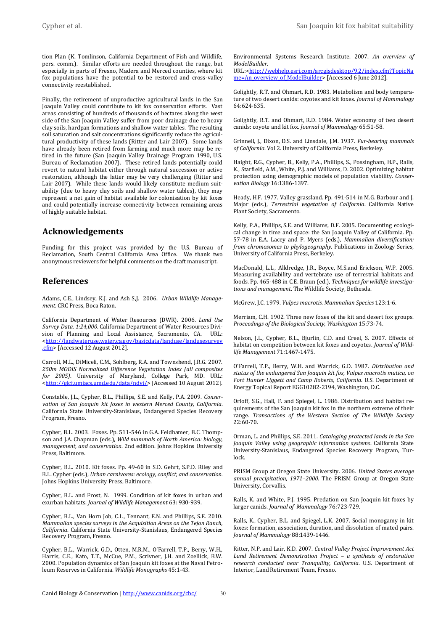tion Plan (K. Tomlinson, California Department of Fish and Wildlife, pers. comm.). Similar efforts are needed throughout the range, but especially in parts of Fresno, Madera and Merced counties, where kit fox populations have the potential to be restored and cross-valley connectivity reestablished.

Finally, the retirement of unproductive agricultural lands in the San Joaquin Valley could contribute to kit fox conservation efforts. Vast areas consisting of hundreds of thousands of hectares along the west side of the San Joaquin Valley suffer from poor drainage due to heavy clay soils, hardpan formations and shallow water tables. The resulting soil saturation and salt concentrations significantly reduce the agricultural productivity of these lands (Ritter and Lair 2007). Some lands have already been retired from farming and much more may be retired in the future (San Joaquin Valley Drainage Program 1990, U.S. Bureau of Reclamation 2007). These retired lands potentially could revert to natural habitat either through natural succession or active restoration, although the latter may be very challenging (Ritter and Lair 2007). While these lands would likely constitute medium suitability (due to heavy clay soils and shallow water tables), they may represent a net gain of habitat available for colonisation by kit foxes and could potentially increase connectivity between remaining areas of highly suitable habitat.

## **Acknowledgements**

Funding for this project was provided by the U.S. Bureau of Reclamation, South Central California Area Office. We thank two anonymous reviewers for helpful comments on the draft manuscript.

### **References**

Adams, C.E., Lindsey, K.J. and Ash S,J. 2006. *Urban Wildlife Management*. CRC Press, Boca Raton.

California Department of Water Resources (DWR). 2006. *Land Use Survey Data. 1:24,000*. California Department of Water Resources Division of Planning and Local Assistance, Sacramento, CA. URL: [<http://landwateruse.water.ca.gov/basicdata/landuse/landusesurvey](http://landwateruse.water.ca.gov/basicdata/landuse/landusesurvey.cfm) [.cfm>](http://landwateruse.water.ca.gov/basicdata/landuse/landusesurvey.cfm) [Accessed 12 August 2012].

Carroll, M.L., DiMiceli, C.M., Sohlberg, R.A. and Townshend, J.R.G. 2007. *250m MODIS Normalized Difference Vegetation Index (all composites for 2005)*. University of Maryland, College Park, MD. URL: [<http://glcf.umiacs.umd.edu/data/ndvi/>](http://glcf.umiacs.umd.edu/data/ndvi/) [Accessed 10 August 2012].

Constable, J.L., Cypher, B.L., Phillips, S.E. and Kelly, P.A. 2009. *Conservation of San Joaquin kit foxes in western Merced County, California*. California State University-Stanislaus, Endangered Species Recovery Program, Fresno.

Cypher, B.L. 2003. Foxes. Pp. 511-546 in G.A. Feldhamer, B.C. Thompson and J.A. Chapman (eds.), *Wild mammals of North America: biology, management, and conservation*. 2nd edition. Johns Hopkins University Press, Baltimore.

Cypher, B.L. 2010. Kit foxes. Pp. 49-60 in S.D. Gehrt, S.P.D. Riley and B.L. Cypher (eds.), *Urban carnivores: ecology, conflict, and conservation.* Johns Hopkins University Press, Baltimore.

Cypher, B.L. and Frost, N. 1999. Condition of kit foxes in urban and exurban habitats. *Journal of Wildlife Management* 63: 930-939.

Cypher, B.L., Van Horn Job, C.L., Tennant, E.N. and Phillips, S.E. 2010. *Mammalian species surveys in the Acquisition Areas on the Tejon Ranch, California*. California State University-Stanislaus, Endangered Species Recovery Program, Fresno.

Cypher, B.L., Warrick, G.D., Otten, M.R.M., O'Farrell, T.P., Berry, W.H., Harris, C.E., Kato, T.T., McCue, P.M., Scrivner, J.H. and Zoellick, B.W. 2000. Population dynamics of San Joaquin kit foxes at the Naval Petroleum Reserves in California. *Wildlife Monographs* 45:1-43.

Environmental Systems Research Institute. 2007. *An overview of ModelBuilder*.

URL:[<http://webhelp.esri.com/arcgisdesktop/9.2/index.cfm?TopicNa](http://webhelp.esri.com/arcgisdesktop/9.2/index.cfm?TopicName=An_overview_of_ModelBuilder) [me=An\\_overview\\_of\\_ModelBuilder>](http://webhelp.esri.com/arcgisdesktop/9.2/index.cfm?TopicName=An_overview_of_ModelBuilder) [Accessed 6 June 2012].

Golightly, R.T. and Ohmart, R.D. 1983. Metabolism and body temperature of two desert canids: coyotes and kit foxes. *Journal of Mammalogy* 64:624-635.

Golightly, R.T. and Ohmart, R.D. 1984. Water economy of two desert canids: coyote and kit fox. *Journal of Mammalogy* 65:51-58.

Grinnell, J., Dixon, D.S. and Linsdale, J.M. 1937. *Fur-bearing mammals of California*. Vol 2. University of California Press, Berkeley.

Haight, R.G., Cypher, B., Kelly, P.A., Phillips, S., Possingham, H.P., Ralls, K., Starfield, A.M., White, P.J. and Williams, D. 2002. Optimizing habitat protection using demographic models of population viability. *Conservation Biology* 16:1386-1397.

Heady, H.F. 1977. Valley grassland. Pp. 491-514 in M.G. Barbour and J. Major (eds.), *Terrestrial vegetation of California*. California Native Plant Society, Sacramento.

Kelly, P.A., Phillips, S.E. and Williams, D.F. 2005. Documenting ecological change in time and space: the San Joaquin Valley of California. Pp. 57-78 in E.A. Lacey and P. Myers (eds.), *Mammalian diversification: from chromosomes to phylogeography*. Publications in Zoology Series, University of California Press, Berkeley.

MacDonald, L.L., Alldredge, J.R., Boyce, M.S.and Erickson, W.P. 2005. Measuring availability and vertebrate use of terrestrial habitats and foods. Pp. 465-488 in C.E. Braun (ed.), *Techniques for wildlife investigations and management*. The Wildlife Society, Bethesda.

McGrew, J.C. 1979. *Vulpes macrotis*. *Mammalian Species* 123:1-6.

Merriam, C.H. 1902. Three new foxes of the kit and desert fox groups. *Proceedings of the Biological Society, Washington* 15:73-74.

Nelson, J.L., Cypher, B.L., Bjurlin, C.D. and Creel, S. 2007. Effects of habitat on competition between kit foxes and coyotes. *Journal of Wildlife Management* 71:1467-1475.

O'Farrell, T.P., Berry, W.H. and Warrick, G.D. 1987. *Distribution and status of the endangered San Joaquin kit fox, Vulpes macrotis mutica, on Fort Hunter Liggett and Camp Roberts, California*. U.S. Department of Energy Topical Report EGG10282-2194, Washington, D.C.

Orloff, S.G., Hall, F. and Spiegel, L. 1986. Distribution and habitat requirements of the San Joaquin kit fox in the northern extreme of their range. *Transactions of the Western Section of The Wildlife Society* 22:60-70.

Orman, L. and Phillips, S.E. 2011. *Cataloging protected lands in the San Joaquin Valley using geographic information systems*. California State University-Stanislaus, Endangered Species Recovery Program, Turlock.

PRISM Group at Oregon State University. 2006. *United States average annual precipitation, 1971–2000*. The PRISM Group at Oregon State University, Corvallis.

Ralls, K. and White, P.J. 1995. Predation on San Joaquin kit foxes by larger canids. *Journal of Mammalogy* 76:723-729.

Ralls, K., Cypher, B.L. and Spiegel, L.K. 2007. Social monogamy in kit foxes: formation, association, duration, and dissolution of mated pairs. *Journal of Mammalogy* 88:1439-1446.

Ritter, N.P. and Lair, K.D. 2007. *Central Valley Project Improvement Act Land Retirement Demonstration Project – a synthesis of restoration research conducted near Tranquility, California*. U.S. Department of Interior, Land Retirement Team, Fresno.